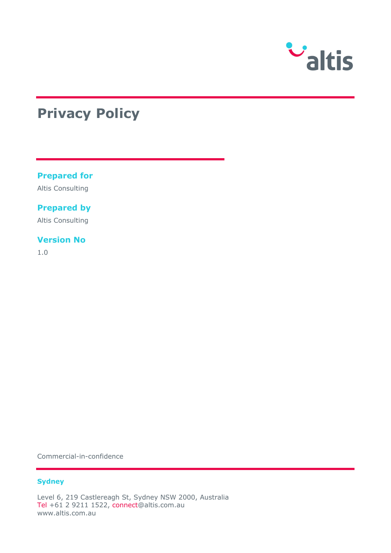

# **Privacy Policy**

#### **Prepared for**

Altis Consulting

#### **Prepared by**

Altis Consulting

#### **Version No**

1.0

Commercial-in-confidence

#### **Sydney**

Level 6, 219 Castlereagh St, Sydney NSW 2000, Australia Tel +61 2 9211 1522, connect@altis.com.au www.altis.com.au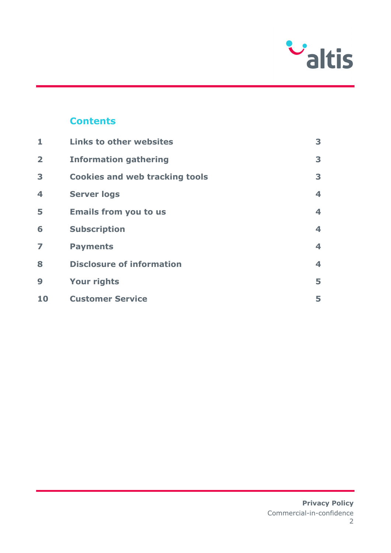

# **Contents**

| 1                       | <b>Links to other websites</b>        | 3                       |
|-------------------------|---------------------------------------|-------------------------|
| $\overline{\mathbf{2}}$ | <b>Information gathering</b>          | 3                       |
| 3                       | <b>Cookies and web tracking tools</b> | 3                       |
| 4                       | <b>Server logs</b>                    | $\overline{\mathbf{4}}$ |
| 5                       | <b>Emails from you to us</b>          | $\overline{\mathbf{4}}$ |
| 6                       | <b>Subscription</b>                   | $\overline{\mathbf{4}}$ |
| $\overline{z}$          | <b>Payments</b>                       | $\overline{\mathbf{4}}$ |
| 8                       | <b>Disclosure of information</b>      | $\overline{\mathbf{4}}$ |
| 9                       | <b>Your rights</b>                    | 5                       |
| 10                      | <b>Customer Service</b>               | 5                       |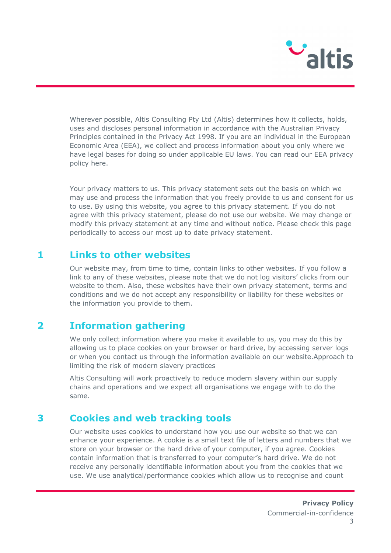

Wherever possible, Altis Consulting Pty Ltd (Altis) determines how it collects, holds, uses and discloses personal information in accordance with the Australian Privacy Principles contained in the Privacy Act 1998. If you are an individual in the European Economic Area (EEA), we collect and process information about you only where we have legal bases for doing so under applicable EU laws. You can read our EEA privacy policy here.

Your privacy matters to us. This privacy statement sets out the basis on which we may use and process the information that you freely provide to us and consent for us to use. By using this website, you agree to this privacy statement. If you do not agree with this privacy statement, please do not use our website. We may change or modify this privacy statement at any time and without notice. Please check this page periodically to access our most up to date privacy statement.

## **1 Links to other websites**

Our website may, from time to time, contain links to other websites. If you follow a link to any of these websites, please note that we do not log visitors' clicks from our website to them. Also, these websites have their own privacy statement, terms and conditions and we do not accept any responsibility or liability for these websites or the information you provide to them.

# **2 Information gathering**

We only collect information where you make it available to us, you may do this by allowing us to place cookies on your browser or hard drive, by accessing server logs or when you contact us through the information available on our website.Approach to limiting the risk of modern slavery practices

Altis Consulting will work proactively to reduce modern slavery within our supply chains and operations and we expect all organisations we engage with to do the same.

# **3 Cookies and web tracking tools**

Our website uses cookies to understand how you use our website so that we can enhance your experience. A cookie is a small text file of letters and numbers that we store on your browser or the hard drive of your computer, if you agree. Cookies contain information that is transferred to your computer's hard drive. We do not receive any personally identifiable information about you from the cookies that we use. We use analytical/performance cookies which allow us to recognise and count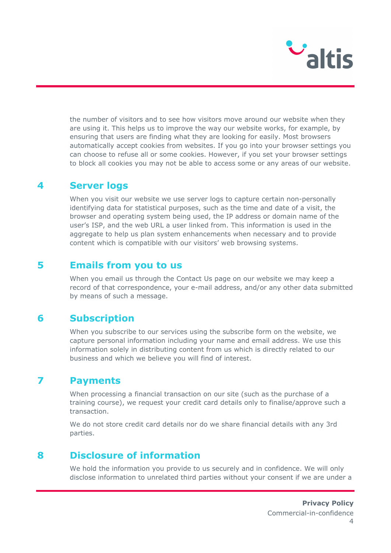

the number of visitors and to see how visitors move around our website when they are using it. This helps us to improve the way our website works, for example, by ensuring that users are finding what they are looking for easily. Most browsers automatically accept cookies from websites. If you go into your browser settings you can choose to refuse all or some cookies. However, if you set your browser settings to block all cookies you may not be able to access some or any areas of our website.

### **4 Server logs**

When you visit our website we use server logs to capture certain non-personally identifying data for statistical purposes, such as the time and date of a visit, the browser and operating system being used, the IP address or domain name of the user's ISP, and the web URL a user linked from. This information is used in the aggregate to help us plan system enhancements when necessary and to provide content which is compatible with our visitors' web browsing systems.

## **5 Emails from you to us**

When you email us through the Contact Us page on our website we may keep a record of that correspondence, your e-mail address, and/or any other data submitted by means of such a message.

# **6 Subscription**

When you subscribe to our services using the subscribe form on the website, we capture personal information including your name and email address. We use this information solely in distributing content from us which is directly related to our business and which we believe you will find of interest.

## **7 Payments**

When processing a financial transaction on our site (such as the purchase of a training course), we request your credit card details only to finalise/approve such a transaction.

We do not store credit card details nor do we share financial details with any 3rd parties.

# **8 Disclosure of information**

We hold the information you provide to us securely and in confidence. We will only disclose information to unrelated third parties without your consent if we are under a